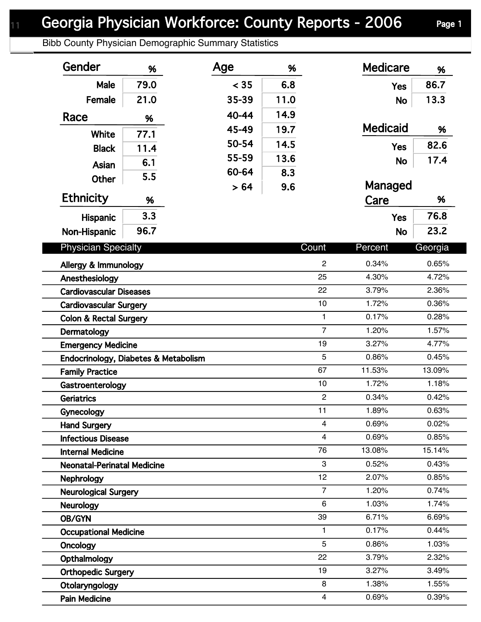Bibb County Physician Demographic Summary Statistics

| Gender                               | %    | Age   | %    |                         | <b>Medicare</b> | %       |
|--------------------------------------|------|-------|------|-------------------------|-----------------|---------|
| Male                                 | 79.0 | < 35  | 6.8  |                         | <b>Yes</b>      | 86.7    |
| Female                               | 21.0 | 35-39 | 11.0 |                         | <b>No</b>       | 13.3    |
| Race                                 | %    | 40-44 | 14.9 |                         |                 |         |
|                                      |      | 45-49 | 19.7 |                         | <b>Medicaid</b> | %       |
| <b>White</b>                         | 77.1 | 50-54 | 14.5 |                         |                 | 82.6    |
| <b>Black</b>                         | 11.4 | 55-59 | 13.6 |                         | <b>Yes</b>      |         |
| Asian                                | 6.1  | 60-64 | 8.3  |                         | <b>No</b>       | 17.4    |
| <b>Other</b>                         | 5.5  |       |      |                         | Managed         |         |
| <b>Ethnicity</b>                     | %    | > 64  | 9.6  |                         | Care            | %       |
| Hispanic                             | 3.3  |       |      |                         | <b>Yes</b>      | 76.8    |
|                                      | 96.7 |       |      |                         |                 | 23.2    |
| Non-Hispanic                         |      |       |      |                         | <b>No</b>       |         |
| <b>Physician Specialty</b>           |      |       |      | Count                   | Percent         | Georgia |
| Allergy & Immunology                 |      |       |      | $\overline{2}$          | 0.34%           | 0.65%   |
| Anesthesiology                       |      |       |      | 25                      | 4.30%           | 4.72%   |
| <b>Cardiovascular Diseases</b>       |      |       |      | 22                      | 3.79%           | 2.36%   |
| <b>Cardiovascular Surgery</b>        |      |       |      | 10                      | 1.72%           | 0.36%   |
| <b>Colon &amp; Rectal Surgery</b>    |      |       |      | $\mathbf{1}$            | 0.17%           | 0.28%   |
| Dermatology                          |      |       |      | $\overline{7}$          | 1.20%           | 1.57%   |
| <b>Emergency Medicine</b>            |      |       |      | 19                      | 3.27%           | 4.77%   |
| Endocrinology, Diabetes & Metabolism |      |       |      | 5                       | 0.86%           | 0.45%   |
| <b>Family Practice</b>               |      |       |      | 67                      | 11.53%          | 13.09%  |
| Gastroenterology                     |      |       |      | 10                      | 1.72%           | 1.18%   |
| Geriatrics                           |      |       |      | $\overline{2}$          | 0.34%           | 0.42%   |
| Gynecology                           |      |       |      | 11                      | 1.89%           | 0.63%   |
| <b>Hand Surgery</b>                  |      |       |      | 4                       | 0.69%           | 0.02%   |
| <b>Infectious Disease</b>            |      |       |      | $\overline{\mathbf{4}}$ | 0.69%           | 0.85%   |
| <b>Internal Medicine</b>             |      |       |      | 76                      | 13.08%          | 15.14%  |
| <b>Neonatal-Perinatal Medicine</b>   |      |       |      | 3                       | 0.52%           | 0.43%   |
| <b>Nephrology</b>                    |      |       |      | 12                      | 2.07%           | 0.85%   |
| <b>Neurological Surgery</b>          |      |       |      | $\overline{7}$          | 1.20%           | 0.74%   |
| <b>Neurology</b>                     |      |       |      | $\,6\,$                 | 1.03%           | 1.74%   |
| OB/GYN                               |      |       |      | 39                      | 6.71%           | 6.69%   |
| <b>Occupational Medicine</b>         |      |       |      | 1                       | 0.17%           | 0.44%   |
| <b>Oncology</b>                      |      |       |      | 5                       | 0.86%           | 1.03%   |
| Opthalmology                         |      |       |      | 22                      | 3.79%           | 2.32%   |
| <b>Orthopedic Surgery</b>            |      |       |      | 19                      | 3.27%           | 3.49%   |
| Otolaryngology                       |      |       |      | 8                       | 1.38%           | 1.55%   |
| <b>Pain Medicine</b>                 |      |       |      | $\overline{\mathbf{4}}$ | 0.69%           | 0.39%   |